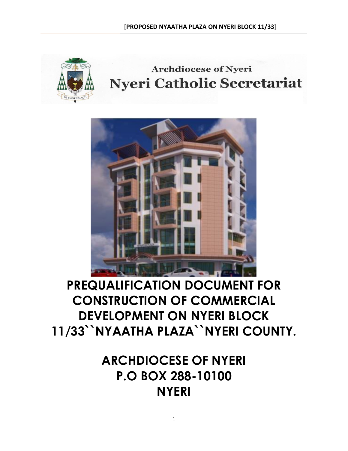

## **Archdiocese of Nyeri Nyeri Catholic Secretariat**



# **PREQUALIFICATION DOCUMENT FOR CONSTRUCTION OF COMMERCIAL DEVELOPMENT ON NYERI BLOCK 11/33``NYAATHA PLAZA``NYERI COUNTY.**

**ARCHDIOCESE OF NYERI P.O BOX 288-10100 NYERI**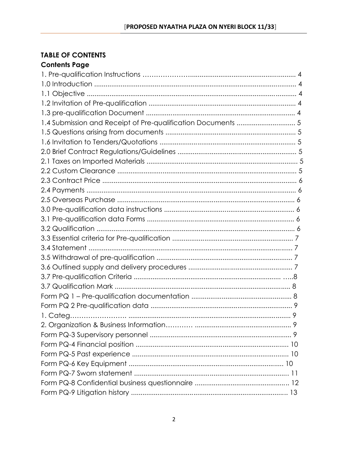#### **TABLE OF CONTENTS** Contents Page

| <b>CALLELIIS I AÑ</b> E |  |
|-------------------------|--|
|                         |  |
|                         |  |
|                         |  |
|                         |  |
|                         |  |
|                         |  |
|                         |  |
|                         |  |
|                         |  |
|                         |  |
|                         |  |
|                         |  |
|                         |  |
|                         |  |
|                         |  |
|                         |  |
|                         |  |
|                         |  |
|                         |  |
|                         |  |
|                         |  |
|                         |  |
|                         |  |
|                         |  |
|                         |  |
|                         |  |
|                         |  |
|                         |  |
|                         |  |
|                         |  |
|                         |  |
|                         |  |
|                         |  |
|                         |  |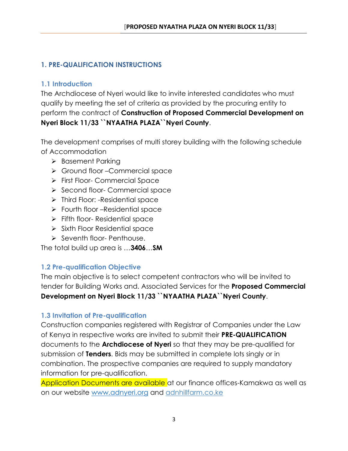## **1. PRE-QUALIFICATION INSTRUCTIONS**

## **1.1 Introduction**

The Archdiocese of Nyeri would like to invite interested candidates who must qualify by meeting the set of criteria as provided by the procuring entity to perform the contract of **Construction of Proposed Commercial Development on Nyeri Block 11/33 ``NYAATHA PLAZA``Nyeri County**.

The development comprises of multi storey building with the following schedule of Accommodation

- ➢ Basement Parking
- ➢ Ground floor –Commercial space
- ➢ First Floor- Commercial Space
- ➢ Second floor- Commercial space
- ➢ Third Floor: -Residential space
- ➢ Fourth floor –Residential space
- ➢ Fifth floor- Residential space
- ➢ Sixth Floor Residential space
- ➢ Seventh floor- Penthouse.

The total build up area is …**3406**…**SM**

#### **1.2 Pre-qualification Objective**

The main objective is to select competent contractors who will be invited to tender for Building Works and. Associated Services for the **Proposed Commercial Development on Nyeri Block 11/33 ``NYAATHA PLAZA``Nyeri County**.

#### **1.3 Invitation of Pre-qualification**

Construction companies registered with Registrar of Companies under the Law of Kenya in respective works are invited to submit their **PRE-QUALIFICATION**  documents to the **Archdiocese of Nyeri** so that they may be pre-qualified for submission of **Tenders**. Bids may be submitted in complete lots singly or in combination. The prospective companies are required to supply mandatory information for pre-qualification.

Application Documents are available at our finance offices-Kamakwa as well as on our website [www.adnyeri.org](http://www.adnyeri.org/) and adnhillfarm.co.ke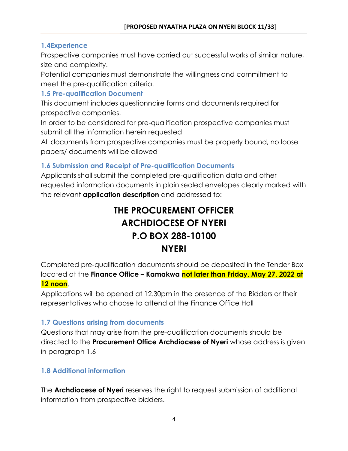## **1.4Experience**

Prospective companies must have carried out successful works of similar nature, size and complexity.

Potential companies must demonstrate the willingness and commitment to meet the pre-qualification criteria.

## **1.5 Pre-qualification Document**

This document includes questionnaire forms and documents required for prospective companies.

In order to be considered for pre-qualification prospective companies must submit all the information herein requested

All documents from prospective companies must be properly bound, no loose papers/ documents will be allowed

## **1.6 Submission and Receipt of Pre-qualification Documents**

Applicants shall submit the completed pre-qualification data and other requested information documents in plain sealed envelopes clearly marked with the relevant **application description** and addressed to:

## **THE PROCUREMENT OFFICER ARCHDIOCESE OF NYERI P.O BOX 288-10100 NYERI**

Completed pre-qualification documents should be deposited in the Tender Box located at the **Finance Office – Kamakwa not later than Friday, May 27, 2022 at 12 noon**.

Applications will be opened at 12.30pm in the presence of the Bidders or their representatives who choose to attend at the Finance Office Hall

## **1.7 Questions arising from documents**

Questions that may arise from the pre-qualification documents should be directed to the **Procurement Office Archdiocese of Nyeri** whose address is given in paragraph 1.6

## **1.8 Additional information**

The **Archdiocese of Nyeri** reserves the right to request submission of additional information from prospective bidders.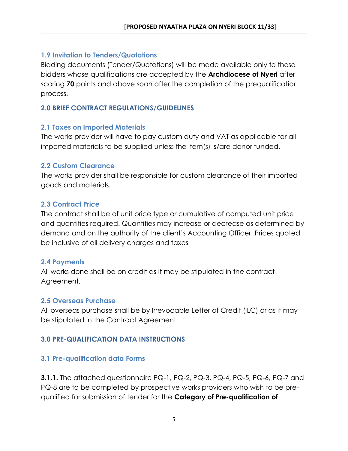#### **1.9 Invitation to Tenders/Quotations**

Bidding documents (Tender/Quotations) will be made available only to those bidders whose qualifications are accepted by the **Archdiocese of Nyeri** after scoring **70** points and above soon after the completion of the prequalification process.

#### **2.0 BRIEF CONTRACT REGULATIONS/GUIDELINES**

#### **2.1 Taxes on Imported Materials**

The works provider will have to pay custom duty and VAT as applicable for all imported materials to be supplied unless the item(s) is/are donor funded.

#### **2.2 Custom Clearance**

The works provider shall be responsible for custom clearance of their imported goods and materials.

#### **2.3 Contract Price**

The contract shall be of unit price type or cumulative of computed unit price and quantities required. Quantities may increase or decrease as determined by demand and on the authority of the client's Accounting Officer. Prices quoted be inclusive of all delivery charges and taxes

#### **2.4 Payments**

All works done shall be on credit as it may be stipulated in the contract Agreement.

#### **2.5 Overseas Purchase**

All overseas purchase shall be by Irrevocable Letter of Credit (ILC) or as it may be stipulated in the Contract Agreement.

## **3.0 PRE-QUALIFICATION DATA INSTRUCTIONS**

## **3.1 Pre-qualification data Forms**

**3.1.1.** The attached questionnaire PQ-1, PQ-2, PQ-3, PQ-4, PQ-5, PQ-6, PQ-7 and PQ-8 are to be completed by prospective works providers who wish to be prequalified for submission of tender for the **Category of Pre-qualification of**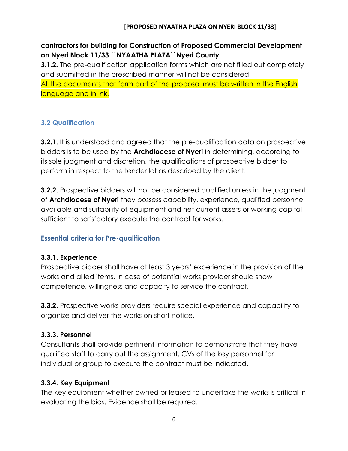**contractors for building for Construction of Proposed Commercial Development on Nyeri Block 11/33 ``NYAATHA PLAZA``Nyeri County**

**3.1.2.** The pre-qualification application forms which are not filled out completely and submitted in the prescribed manner will not be considered. All the documents that form part of the proposal must be written in the English language and in ink.

## **3.2 Qualification**

**3.2.1**. It is understood and agreed that the pre-qualification data on prospective bidders is to be used by the **Archdiocese of Nyeri** in determining, according to its sole judgment and discretion, the qualifications of prospective bidder to perform in respect to the tender lot as described by the client.

**3.2.2.** Prospective bidders will not be considered qualified unless in the judgment of **Archdiocese of Nyeri** they possess capability, experience, qualified personnel available and suitability of equipment and net current assets or working capital sufficient to satisfactory execute the contract for works.

## **Essential criteria for Pre-qualification**

## **3.3.1**. **Experience**

Prospective bidder shall have at least 3 years' experience in the provision of the works and allied items. In case of potential works provider should show competence, willingness and capacity to service the contract.

**3.3.2**. Prospective works providers require special experience and capability to organize and deliver the works on short notice.

## **3.3.3. Personnel**

Consultants shall provide pertinent information to demonstrate that they have qualified staff to carry out the assignment. CVs of the key personnel for individual or group to execute the contract must be indicated.

## **3.3.4. Key Equipment**

The key equipment whether owned or leased to undertake the works is critical in evaluating the bids. Evidence shall be required.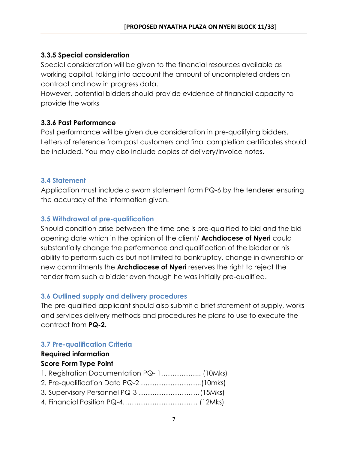## **3.3.5 Special consideration**

Special consideration will be given to the financial resources available as working capital, taking into account the amount of uncompleted orders on contract and now in progress data.

However, potential bidders should provide evidence of financial capacity to provide the works

#### **3.3.6 Past Performance**

Past performance will be given due consideration in pre-qualifying bidders. Letters of reference from past customers and final completion certificates should be included. You may also include copies of delivery/invoice notes.

#### **3.4 Statement**

Application must include a sworn statement form PQ-6 by the tenderer ensuring the accuracy of the information given.

#### **3.5 Withdrawal of pre-qualification**

Should condition arise between the time one is pre-qualified to bid and the bid opening date which in the opinion of the client/ **Archdiocese of Nyeri** could substantially change the performance and qualification of the bidder or his ability to perform such as but not limited to bankruptcy, change in ownership or new commitments the **Archdiocese of Nyeri** reserves the right to reject the tender from such a bidder even though he was initially pre-qualified.

#### **3.6 Outlined supply and delivery procedures**

The pre-qualified applicant should also submit a brief statement of supply, works and services delivery methods and procedures he plans to use to execute the contract from **PQ-2.** 

## **3.7 Pre-qualification Criteria**

## **Required information**

#### **Score Form Type Point**

| 1. Registration Documentation PQ-1 (10Mks) |  |
|--------------------------------------------|--|
|                                            |  |
|                                            |  |
|                                            |  |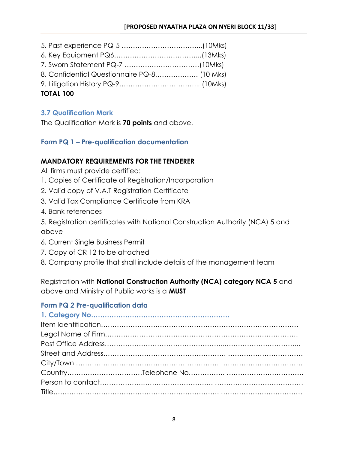| TOTAL 100                                   |  |
|---------------------------------------------|--|
|                                             |  |
| 8. Confidential Questionnaire PQ-8 (10 Mks) |  |
|                                             |  |
|                                             |  |
|                                             |  |

## **TOTAL 100**

#### **3.7 Qualification Mark**

The Qualification Mark is **70 points** and above.

## **Form PQ 1 – Pre-qualification documentation**

#### **MANDATORY REQUIREMENTS FOR THE TENDERER**

All firms must provide certified:

- 1. Copies of Certificate of Registration/Incorporation
- 2. Valid copy of V.A.T Registration Certificate
- 3. Valid Tax Compliance Certificate from KRA
- 4. Bank references

5. Registration certificates with National Construction Authority (NCA) 5 and above

- 6. Current Single Business Permit
- 7. Copy of CR 12 to be attached
- 8. Company profile that shall include details of the management team

Registration with **National Construction Authority (NCA) category NCA 5** and above and Ministry of Public works is a **MUST**

## **Form PQ 2 Pre-qualification data**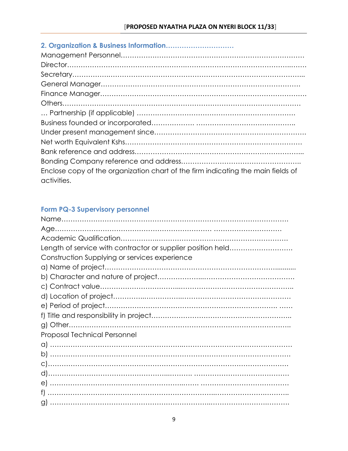| Enclose copy of the organization chart of the firm indicating the main fields of |
|----------------------------------------------------------------------------------|
| activities.                                                                      |

## **Form PQ-3 Supervisory personnel**

| Length of service with contractor or supplier position held |
|-------------------------------------------------------------|
| Construction Supplying or services experience               |
|                                                             |
|                                                             |
|                                                             |
|                                                             |
|                                                             |
|                                                             |
|                                                             |
| <b>Proposal Technical Personnel</b>                         |
|                                                             |
|                                                             |
|                                                             |
|                                                             |
|                                                             |
|                                                             |
|                                                             |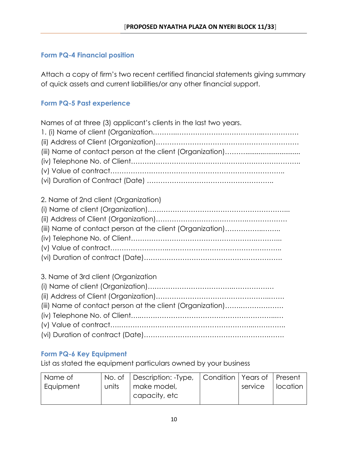## **Form PQ-4 Financial position**

Attach a copy of firm's two recent certified financial statements giving summary of quick assets and current liabilities/or any other financial support.

#### **Form PQ-5 Past experience**

| Names of at three (3) applicant's clients in the last two years. |
|------------------------------------------------------------------|
|                                                                  |
|                                                                  |
|                                                                  |
|                                                                  |
|                                                                  |
| 2. Name of 2nd client (Organization)                             |
|                                                                  |
|                                                                  |
| (iii) Name of contact person at the client (Organization)        |
|                                                                  |
|                                                                  |
|                                                                  |
| 3. Name of 3rd client (Organization                              |
|                                                                  |
|                                                                  |
| (iii) Name of contact person at the client (Organization)        |
|                                                                  |
|                                                                  |
|                                                                  |

## **Form PQ-6 Key Equipment**

List as stated the equipment particulars owned by your business

| Name of   |       | No. of   Description: -Type,   Condition   Years of   Present |         |            |
|-----------|-------|---------------------------------------------------------------|---------|------------|
| Equipment | units | make model,<br>capacity, etc                                  | service | l location |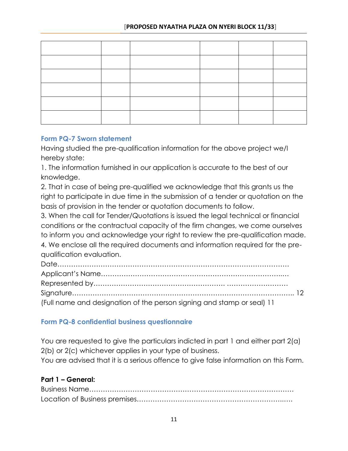#### **Form PQ-7 Sworn statement**

Having studied the pre-qualification information for the above project we/I hereby state:

1. The information furnished in our application is accurate to the best of our knowledge.

2. That in case of being pre-qualified we acknowledge that this grants us the right to participate in due time in the submission of a tender or quotation on the basis of provision in the tender or quotation documents to follow.

3. When the call for Tender/Quotations is issued the legal technical or financial conditions or the contractual capacity of the firm changes, we come ourselves to inform you and acknowledge your right to review the pre-qualification made. 4. We enclose all the required documents and information required for the prequalification evaluation.

| (Full name and designation of the person signing and stamp or seal) 11 |  |
|------------------------------------------------------------------------|--|

## **Form PQ-8 confidential business questionnaire**

You are requested to give the particulars indicted in part 1 and either part 2(a) 2(b) or 2(c) whichever applies in your type of business. You are advised that it is a serious offence to give false information on this Form.

#### **Part 1 – General:**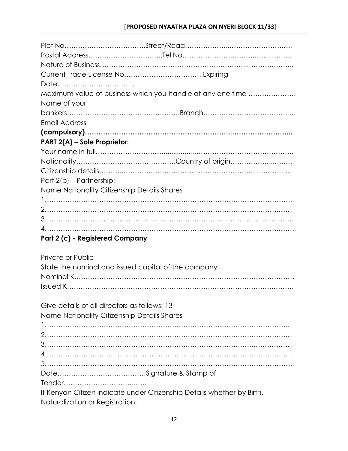| Date                                                       |
|------------------------------------------------------------|
| Maximum value of business which you handle at any one time |
| Name of your                                               |
|                                                            |
| Email Address                                              |
|                                                            |
| PART 2(A) - Sole Proprietor:                               |
|                                                            |
|                                                            |
|                                                            |
| Part 2(b) - Partnership: -                                 |
| Name Nationality Citizenship Details Shares                |
|                                                            |
|                                                            |
|                                                            |
|                                                            |
| Part 2 (c) - Registered Company                            |
|                                                            |
| Private or Public                                          |
| State the nominal and issued capital of the company        |
|                                                            |
|                                                            |
|                                                            |
| Give details of all directors as follows: 13               |
| Name Nationality Citizenship Details Shares                |
|                                                            |
|                                                            |
|                                                            |
|                                                            |
|                                                            |

Date…………………………………Signature & Stamp of

Tender…………………………..…..

If Kenyan Citizen indicate under Citizenship Details whether by Birth, Naturalization or Registration.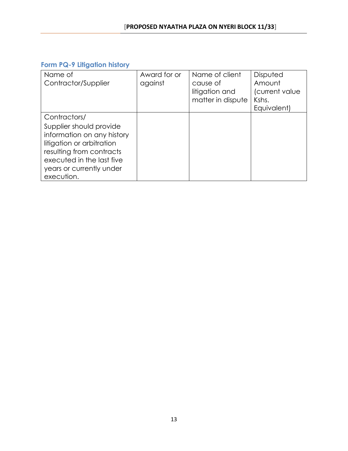## **Form PQ-9 Litigation history**

| Name of                    | Award for or | Name of client    | Disputed       |
|----------------------------|--------------|-------------------|----------------|
| Contractor/Supplier        | against      | cause of          | Amount         |
|                            |              | litigation and    | (current value |
|                            |              | matter in dispute | Kshs.          |
|                            |              |                   | Equivalent)    |
| Contractors/               |              |                   |                |
| Supplier should provide    |              |                   |                |
| information on any history |              |                   |                |
| litigation or arbitration  |              |                   |                |
| resulting from contracts   |              |                   |                |
| executed in the last five  |              |                   |                |
| years or currently under   |              |                   |                |
| execution.                 |              |                   |                |